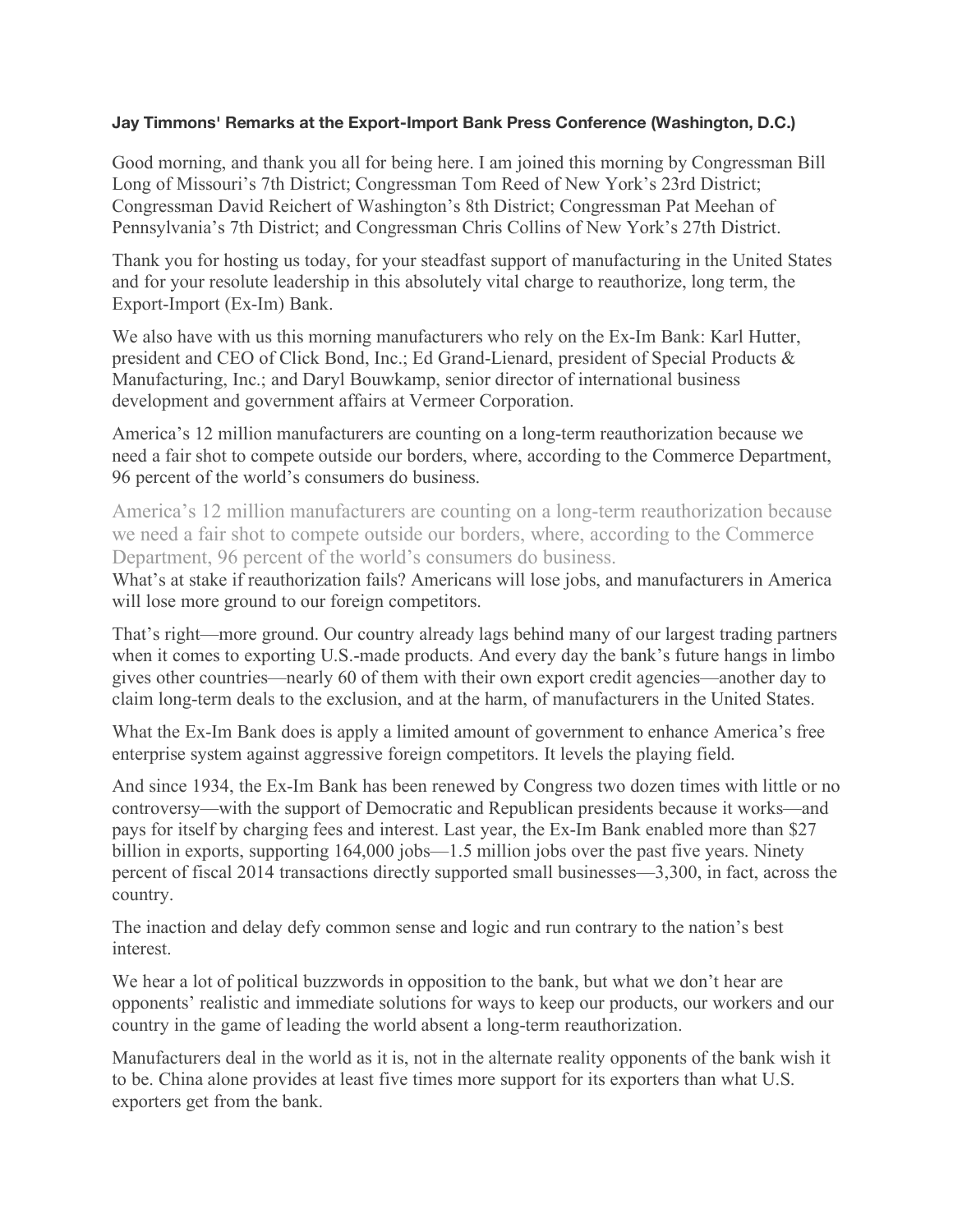## **Jay Timmons' Remarks at the Export-Import Bank Press Conference (Washington, D.C.)**

Good morning, and thank you all for being here. I am joined this morning by Congressman Bill Long of Missouri's 7th District; Congressman Tom Reed of New York's 23rd District; Congressman David Reichert of Washington's 8th District; Congressman Pat Meehan of Pennsylvania's 7th District; and Congressman Chris Collins of New York's 27th District.

Thank you for hosting us today, for your steadfast support of manufacturing in the United States and for your resolute leadership in this absolutely vital charge to reauthorize, long term, the Export-Import (Ex-Im) Bank.

We also have with us this morning manufacturers who rely on the Ex-Im Bank: Karl Hutter, president and CEO of Click Bond, Inc.; Ed Grand-Lienard, president of Special Products & Manufacturing, Inc.; and Daryl Bouwkamp, senior director of international business development and government affairs at Vermeer Corporation.

America's 12 million manufacturers are counting on a long-term reauthorization because we need a fair shot to compete outside our borders, where, according to the Commerce Department, 96 percent of the world's consumers do business.

America's 12 million manufacturers are counting on a long-term reauthorization because we need a fair shot to compete outside our borders, where, according to the Commerce Department, 96 percent of the world's consumers do business.

What's at stake if reauthorization fails? Americans will lose jobs, and manufacturers in America will lose more ground to our foreign competitors.

That's right—more ground. Our country already lags behind many of our largest trading partners when it comes to exporting U.S.-made products. And every day the bank's future hangs in limbo gives other countries—nearly 60 of them with their own export credit agencies—another day to claim long-term deals to the exclusion, and at the harm, of manufacturers in the United States.

What the Ex-Im Bank does is apply a limited amount of government to enhance America's free enterprise system against aggressive foreign competitors. It levels the playing field.

And since 1934, the Ex-Im Bank has been renewed by Congress two dozen times with little or no controversy—with the support of Democratic and Republican presidents because it works—and pays for itself by charging fees and interest. Last year, the Ex-Im Bank enabled more than \$27 billion in exports, supporting 164,000 jobs—1.5 million jobs over the past five years. Ninety percent of fiscal 2014 transactions directly supported small businesses—3,300, in fact, across the country.

The inaction and delay defy common sense and logic and run contrary to the nation's best interest.

We hear a lot of political buzzwords in opposition to the bank, but what we don't hear are opponents' realistic and immediate solutions for ways to keep our products, our workers and our country in the game of leading the world absent a long-term reauthorization.

Manufacturers deal in the world as it is, not in the alternate reality opponents of the bank wish it to be. China alone provides at least five times more support for its exporters than what U.S. exporters get from the bank.